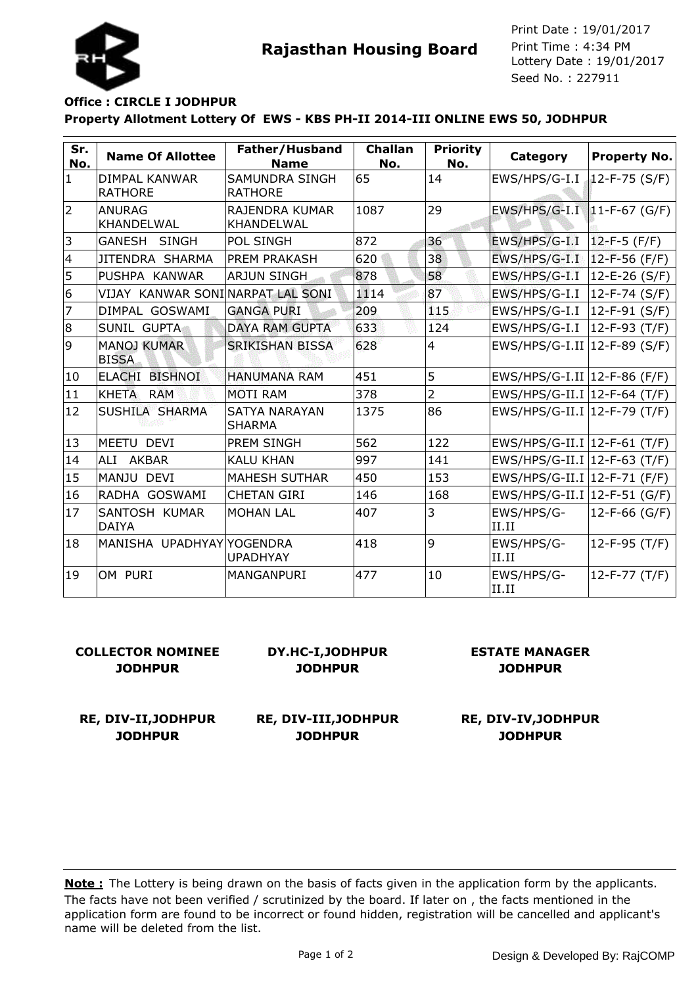



Seed No. : 227911 Print Date : 19/01/2017 Print Time : 4:34 PM

# **Property Allotment Lottery Of EWS - KBS PH-II 2014-III ONLINE EWS 50, JODHPUR Office : CIRCLE I JODHPUR**

| Sr.<br>No.      | <b>Name Of Allottee</b>                | Father/Husband<br><b>Name</b>           | <b>Challan</b><br>No. | <b>Priority</b><br>No. | Category                         | <b>Property No.</b> |
|-----------------|----------------------------------------|-----------------------------------------|-----------------------|------------------------|----------------------------------|---------------------|
| $\mathbf{1}$    | <b>DIMPAL KANWAR</b><br><b>RATHORE</b> | <b>SAMUNDRA SINGH</b><br><b>RATHORE</b> | 65                    | 14                     | EWS/HPS/G-I.I                    | $12-F-75(S/F)$      |
| $\overline{2}$  | <b>ANURAG</b><br><b>KHANDELWAL</b>     | RAJENDRA KUMAR<br>KHANDELWAL            | 1087                  | 29                     | EWS/HPS/G-I.I  11-F-67 (G/F)     |                     |
| 3               | GANESH SINGH                           | POL SINGH                               | 872                   | 36                     | EWS/HPS/G-I.I   12-F-5 (F/F)     |                     |
| $\overline{4}$  | JITENDRA SHARMA                        | <b>PREM PRAKASH</b>                     | 620                   | 38                     | EWS/HPS/G-I.I   12-F-56 (F/F)    |                     |
| 5               | PUSHPA KANWAR                          | <b>ARJUN SINGH</b>                      | 878                   | 58                     | EWS/HPS/G-I.I   12-E-26 (S/F)    |                     |
| $6\overline{6}$ | VIJAY KANWAR SONI NARPAT LAL SONI      |                                         | 1114                  | 87                     | $EWS/HPS/G-I.I$                  | 12-F-74 (S/F)       |
| 7               | DIMPAL GOSWAMI                         | <b>GANGA PURI</b>                       | 209                   | 115                    | EWS/HPS/G-I.I                    | 12-F-91 (S/F)       |
| $\overline{8}$  | SUNIL GUPTA                            | <b>DAYA RAM GUPTA</b>                   | 633                   | 124                    | EWS/HPS/G-I.I                    | 12-F-93 (T/F)       |
| 9               | <b>MANOJ KUMAR</b><br><b>BISSA</b>     | <b>SRIKISHAN BISSA</b>                  | 628                   | 4                      | EWS/HPS/G-I.II   12-F-89 (S/F)   |                     |
| 10              | ELACHI BISHNOI                         | <b>HANUMANA RAM</b>                     | 451                   | 5                      | EWS/HPS/G-I.II   12-F-86 (F/F)   |                     |
| 11              | KHETA RAM                              | <b>MOTI RAM</b>                         | 378                   | $\overline{2}$         | EWS/HPS/G-II.I $ 12$ -F-64 (T/F) |                     |
| 12              | <b>SUSHILA SHARMA</b>                  | <b>SATYA NARAYAN</b><br><b>SHARMA</b>   | 1375                  | 86                     | EWS/HPS/G-II.I   12-F-79 (T/F)   |                     |
| 13              | MEETU DEVI                             | PREM SINGH                              | 562                   | 122                    | $EWS/HPS/G-II.I$ 12-F-61 (T/F)   |                     |
| 14              | ALI AKBAR                              | <b>KALU KHAN</b>                        | 997                   | 141                    | EWS/HPS/G-II.I   12-F-63 (T/F)   |                     |
| 15              | MANJU DEVI                             | <b>MAHESH SUTHAR</b>                    | 450                   | 153                    | EWS/HPS/G-II.I   12-F-71 (F/F)   |                     |
| 16              | RADHA GOSWAMI                          | <b>CHETAN GIRI</b>                      | 146                   | 168                    | EWS/HPS/G-II.I   12-F-51 (G/F)   |                     |
| 17              | <b>SANTOSH KUMAR</b><br><b>DAIYA</b>   | <b>MOHAN LAL</b>                        | 407                   | 3                      | EWS/HPS/G-<br>II.II              | 12-F-66 (G/F)       |
| 18              | MANISHA UPADHYAY YOGENDRA              | <b>UPADHYAY</b>                         | 418                   | 9                      | EWS/HPS/G-<br>II.II              | 12-F-95 (T/F)       |
| 19              | OM PURI                                | <b>MANGANPURI</b>                       | 477                   | 10                     | EWS/HPS/G-<br>II.II              | $12-F-77(T/F)$      |

## **COLLECTOR NOMINEE JODHPUR**

**DY.HC-I,JODHPUR JODHPUR**

## **ESTATE MANAGER JODHPUR**

**RE, DIV-II,JODHPUR JODHPUR**

**RE, DIV-III,JODHPUR JODHPUR**

**RE, DIV-IV,JODHPUR JODHPUR**

The facts have not been verified / scrutinized by the board. If later on , the facts mentioned in the application form are found to be incorrect or found hidden, registration will be cancelled and applicant's name will be deleted from the list. **Note :** The Lottery is being drawn on the basis of facts given in the application form by the applicants.